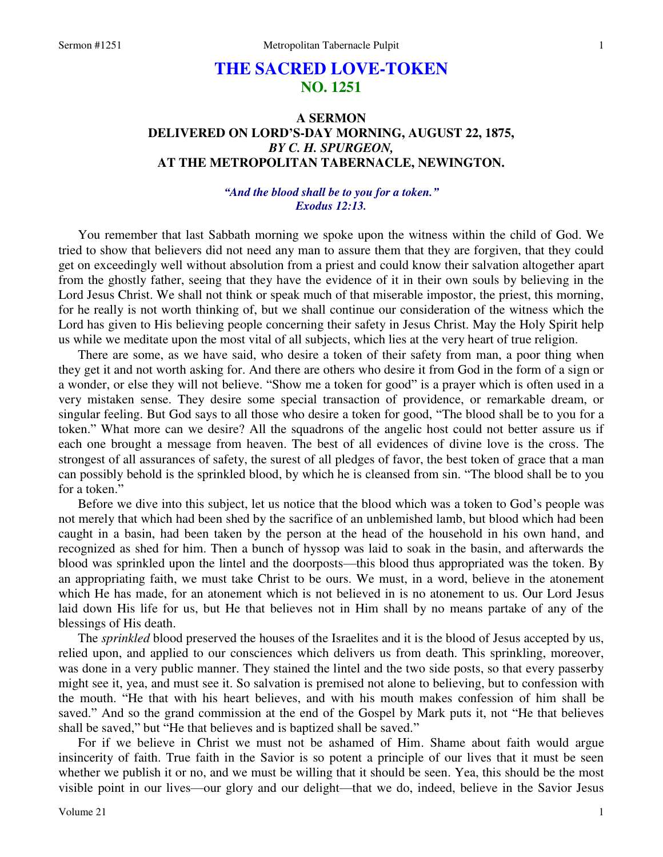# **THE SACRED LOVE-TOKEN NO. 1251**

# **A SERMON DELIVERED ON LORD'S-DAY MORNING, AUGUST 22, 1875,**  *BY C. H. SPURGEON,*  **AT THE METROPOLITAN TABERNACLE, NEWINGTON.**

# *"And the blood shall be to you for a token." Exodus 12:13.*

You remember that last Sabbath morning we spoke upon the witness within the child of God. We tried to show that believers did not need any man to assure them that they are forgiven, that they could get on exceedingly well without absolution from a priest and could know their salvation altogether apart from the ghostly father, seeing that they have the evidence of it in their own souls by believing in the Lord Jesus Christ. We shall not think or speak much of that miserable impostor, the priest, this morning, for he really is not worth thinking of, but we shall continue our consideration of the witness which the Lord has given to His believing people concerning their safety in Jesus Christ. May the Holy Spirit help us while we meditate upon the most vital of all subjects, which lies at the very heart of true religion.

 There are some, as we have said, who desire a token of their safety from man, a poor thing when they get it and not worth asking for. And there are others who desire it from God in the form of a sign or a wonder, or else they will not believe. "Show me a token for good" is a prayer which is often used in a very mistaken sense. They desire some special transaction of providence, or remarkable dream, or singular feeling. But God says to all those who desire a token for good, "The blood shall be to you for a token." What more can we desire? All the squadrons of the angelic host could not better assure us if each one brought a message from heaven. The best of all evidences of divine love is the cross. The strongest of all assurances of safety, the surest of all pledges of favor, the best token of grace that a man can possibly behold is the sprinkled blood, by which he is cleansed from sin. "The blood shall be to you for a token."

 Before we dive into this subject, let us notice that the blood which was a token to God's people was not merely that which had been shed by the sacrifice of an unblemished lamb, but blood which had been caught in a basin, had been taken by the person at the head of the household in his own hand, and recognized as shed for him. Then a bunch of hyssop was laid to soak in the basin, and afterwards the blood was sprinkled upon the lintel and the doorposts—this blood thus appropriated was the token. By an appropriating faith, we must take Christ to be ours. We must, in a word, believe in the atonement which He has made, for an atonement which is not believed in is no atonement to us. Our Lord Jesus laid down His life for us, but He that believes not in Him shall by no means partake of any of the blessings of His death.

 The *sprinkled* blood preserved the houses of the Israelites and it is the blood of Jesus accepted by us, relied upon, and applied to our consciences which delivers us from death. This sprinkling, moreover, was done in a very public manner. They stained the lintel and the two side posts, so that every passerby might see it, yea, and must see it. So salvation is premised not alone to believing, but to confession with the mouth. "He that with his heart believes, and with his mouth makes confession of him shall be saved." And so the grand commission at the end of the Gospel by Mark puts it, not "He that believes shall be saved," but "He that believes and is baptized shall be saved."

 For if we believe in Christ we must not be ashamed of Him. Shame about faith would argue insincerity of faith. True faith in the Savior is so potent a principle of our lives that it must be seen whether we publish it or no, and we must be willing that it should be seen. Yea, this should be the most visible point in our lives—our glory and our delight—that we do, indeed, believe in the Savior Jesus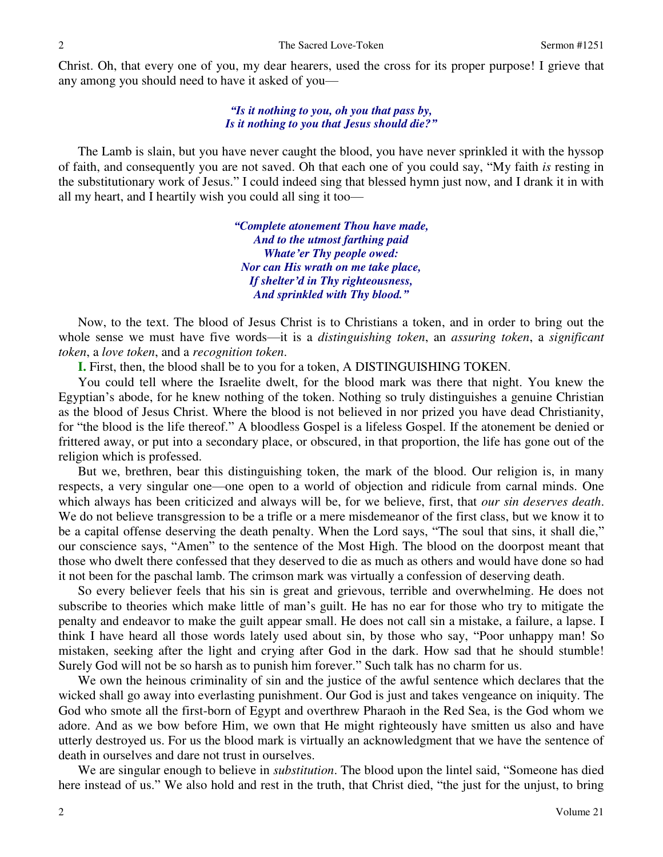Christ. Oh, that every one of you, my dear hearers, used the cross for its proper purpose! I grieve that any among you should need to have it asked of you—

### *"Is it nothing to you, oh you that pass by, Is it nothing to you that Jesus should die?"*

 The Lamb is slain, but you have never caught the blood, you have never sprinkled it with the hyssop of faith, and consequently you are not saved. Oh that each one of you could say, "My faith *is* resting in the substitutionary work of Jesus." I could indeed sing that blessed hymn just now, and I drank it in with all my heart, and I heartily wish you could all sing it too—

> *"Complete atonement Thou have made, And to the utmost farthing paid Whate'er Thy people owed: Nor can His wrath on me take place, If shelter'd in Thy righteousness, And sprinkled with Thy blood."*

Now, to the text. The blood of Jesus Christ is to Christians a token, and in order to bring out the whole sense we must have five words—it is a *distinguishing token*, an *assuring token*, a *significant token*, a *love token*, and a *recognition token*.

**I.** First, then, the blood shall be to you for a token, A DISTINGUISHING TOKEN.

 You could tell where the Israelite dwelt, for the blood mark was there that night. You knew the Egyptian's abode, for he knew nothing of the token. Nothing so truly distinguishes a genuine Christian as the blood of Jesus Christ. Where the blood is not believed in nor prized you have dead Christianity, for "the blood is the life thereof." A bloodless Gospel is a lifeless Gospel. If the atonement be denied or frittered away, or put into a secondary place, or obscured, in that proportion, the life has gone out of the religion which is professed.

 But we, brethren, bear this distinguishing token, the mark of the blood. Our religion is, in many respects, a very singular one—one open to a world of objection and ridicule from carnal minds. One which always has been criticized and always will be, for we believe, first, that *our sin deserves death*. We do not believe transgression to be a trifle or a mere misdemeanor of the first class, but we know it to be a capital offense deserving the death penalty. When the Lord says, "The soul that sins, it shall die," our conscience says, "Amen" to the sentence of the Most High. The blood on the doorpost meant that those who dwelt there confessed that they deserved to die as much as others and would have done so had it not been for the paschal lamb. The crimson mark was virtually a confession of deserving death.

 So every believer feels that his sin is great and grievous, terrible and overwhelming. He does not subscribe to theories which make little of man's guilt. He has no ear for those who try to mitigate the penalty and endeavor to make the guilt appear small. He does not call sin a mistake, a failure, a lapse. I think I have heard all those words lately used about sin, by those who say, "Poor unhappy man! So mistaken, seeking after the light and crying after God in the dark. How sad that he should stumble! Surely God will not be so harsh as to punish him forever." Such talk has no charm for us.

 We own the heinous criminality of sin and the justice of the awful sentence which declares that the wicked shall go away into everlasting punishment. Our God is just and takes vengeance on iniquity. The God who smote all the first-born of Egypt and overthrew Pharaoh in the Red Sea, is the God whom we adore. And as we bow before Him, we own that He might righteously have smitten us also and have utterly destroyed us. For us the blood mark is virtually an acknowledgment that we have the sentence of death in ourselves and dare not trust in ourselves.

 We are singular enough to believe in *substitution*. The blood upon the lintel said, "Someone has died here instead of us." We also hold and rest in the truth, that Christ died, "the just for the unjust, to bring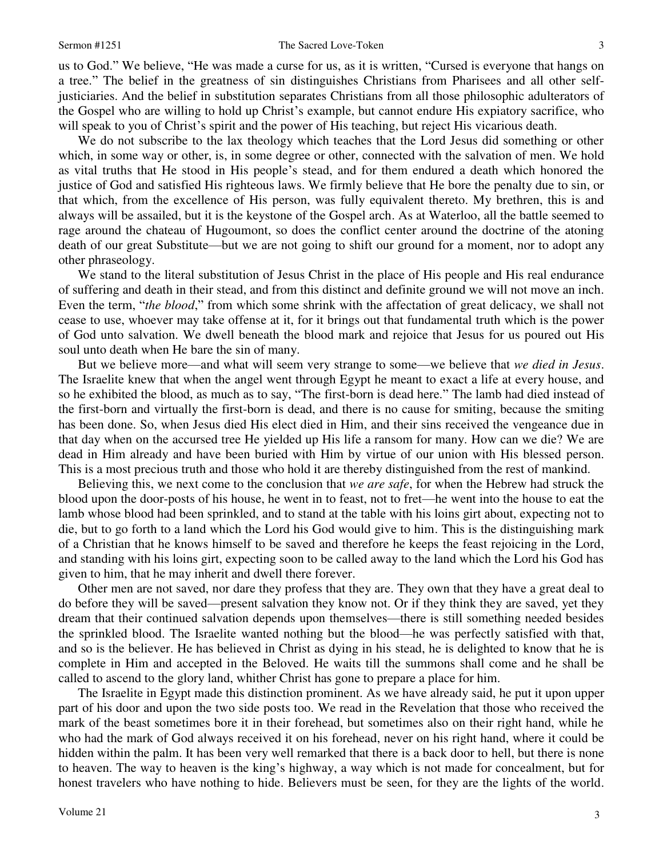us to God." We believe, "He was made a curse for us, as it is written, "Cursed is everyone that hangs on a tree." The belief in the greatness of sin distinguishes Christians from Pharisees and all other selfjusticiaries. And the belief in substitution separates Christians from all those philosophic adulterators of the Gospel who are willing to hold up Christ's example, but cannot endure His expiatory sacrifice, who will speak to you of Christ's spirit and the power of His teaching, but reject His vicarious death.

 We do not subscribe to the lax theology which teaches that the Lord Jesus did something or other which, in some way or other, is, in some degree or other, connected with the salvation of men. We hold as vital truths that He stood in His people's stead, and for them endured a death which honored the justice of God and satisfied His righteous laws. We firmly believe that He bore the penalty due to sin, or that which, from the excellence of His person, was fully equivalent thereto. My brethren, this is and always will be assailed, but it is the keystone of the Gospel arch. As at Waterloo, all the battle seemed to rage around the chateau of Hugoumont, so does the conflict center around the doctrine of the atoning death of our great Substitute—but we are not going to shift our ground for a moment, nor to adopt any other phraseology.

We stand to the literal substitution of Jesus Christ in the place of His people and His real endurance of suffering and death in their stead, and from this distinct and definite ground we will not move an inch. Even the term, "*the blood*," from which some shrink with the affectation of great delicacy, we shall not cease to use, whoever may take offense at it, for it brings out that fundamental truth which is the power of God unto salvation. We dwell beneath the blood mark and rejoice that Jesus for us poured out His soul unto death when He bare the sin of many.

 But we believe more—and what will seem very strange to some—we believe that *we died in Jesus*. The Israelite knew that when the angel went through Egypt he meant to exact a life at every house, and so he exhibited the blood, as much as to say, "The first-born is dead here." The lamb had died instead of the first-born and virtually the first-born is dead, and there is no cause for smiting, because the smiting has been done. So, when Jesus died His elect died in Him, and their sins received the vengeance due in that day when on the accursed tree He yielded up His life a ransom for many. How can we die? We are dead in Him already and have been buried with Him by virtue of our union with His blessed person. This is a most precious truth and those who hold it are thereby distinguished from the rest of mankind.

 Believing this, we next come to the conclusion that *we are safe*, for when the Hebrew had struck the blood upon the door-posts of his house, he went in to feast, not to fret—he went into the house to eat the lamb whose blood had been sprinkled, and to stand at the table with his loins girt about, expecting not to die, but to go forth to a land which the Lord his God would give to him. This is the distinguishing mark of a Christian that he knows himself to be saved and therefore he keeps the feast rejoicing in the Lord, and standing with his loins girt, expecting soon to be called away to the land which the Lord his God has given to him, that he may inherit and dwell there forever.

 Other men are not saved, nor dare they profess that they are. They own that they have a great deal to do before they will be saved—present salvation they know not. Or if they think they are saved, yet they dream that their continued salvation depends upon themselves—there is still something needed besides the sprinkled blood. The Israelite wanted nothing but the blood—he was perfectly satisfied with that, and so is the believer. He has believed in Christ as dying in his stead, he is delighted to know that he is complete in Him and accepted in the Beloved. He waits till the summons shall come and he shall be called to ascend to the glory land, whither Christ has gone to prepare a place for him.

 The Israelite in Egypt made this distinction prominent. As we have already said, he put it upon upper part of his door and upon the two side posts too. We read in the Revelation that those who received the mark of the beast sometimes bore it in their forehead, but sometimes also on their right hand, while he who had the mark of God always received it on his forehead, never on his right hand, where it could be hidden within the palm. It has been very well remarked that there is a back door to hell, but there is none to heaven. The way to heaven is the king's highway, a way which is not made for concealment, but for honest travelers who have nothing to hide. Believers must be seen, for they are the lights of the world.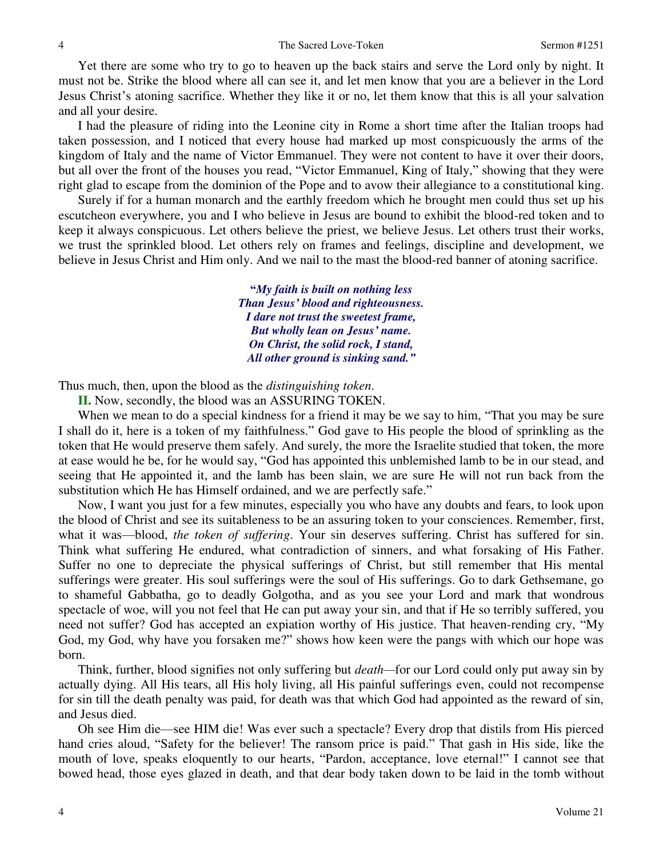Yet there are some who try to go to heaven up the back stairs and serve the Lord only by night. It must not be. Strike the blood where all can see it, and let men know that you are a believer in the Lord Jesus Christ's atoning sacrifice. Whether they like it or no, let them know that this is all your salvation and all your desire.

 I had the pleasure of riding into the Leonine city in Rome a short time after the Italian troops had taken possession, and I noticed that every house had marked up most conspicuously the arms of the kingdom of Italy and the name of Victor Emmanuel. They were not content to have it over their doors, but all over the front of the houses you read, "Victor Emmanuel, King of Italy," showing that they were right glad to escape from the dominion of the Pope and to avow their allegiance to a constitutional king.

 Surely if for a human monarch and the earthly freedom which he brought men could thus set up his escutcheon everywhere, you and I who believe in Jesus are bound to exhibit the blood-red token and to keep it always conspicuous. Let others believe the priest, we believe Jesus. Let others trust their works, we trust the sprinkled blood. Let others rely on frames and feelings, discipline and development, we believe in Jesus Christ and Him only. And we nail to the mast the blood-red banner of atoning sacrifice.

> **"***My faith is built on nothing less Than Jesus' blood and righteousness. I dare not trust the sweetest frame, But wholly lean on Jesus' name. On Christ, the solid rock, I stand, All other ground is sinking sand."*

Thus much, then, upon the blood as the *distinguishing token*.

**II.** Now, secondly, the blood was an ASSURING TOKEN.

When we mean to do a special kindness for a friend it may be we say to him, "That you may be sure I shall do it, here is a token of my faithfulness." God gave to His people the blood of sprinkling as the token that He would preserve them safely. And surely, the more the Israelite studied that token, the more at ease would he be, for he would say, "God has appointed this unblemished lamb to be in our stead, and seeing that He appointed it, and the lamb has been slain, we are sure He will not run back from the substitution which He has Himself ordained, and we are perfectly safe."

 Now, I want you just for a few minutes, especially you who have any doubts and fears, to look upon the blood of Christ and see its suitableness to be an assuring token to your consciences. Remember, first, what it was—blood, *the token of suffering*. Your sin deserves suffering. Christ has suffered for sin. Think what suffering He endured, what contradiction of sinners, and what forsaking of His Father. Suffer no one to depreciate the physical sufferings of Christ, but still remember that His mental sufferings were greater. His soul sufferings were the soul of His sufferings. Go to dark Gethsemane, go to shameful Gabbatha, go to deadly Golgotha, and as you see your Lord and mark that wondrous spectacle of woe, will you not feel that He can put away your sin, and that if He so terribly suffered, you need not suffer? God has accepted an expiation worthy of His justice. That heaven-rending cry, "My God, my God, why have you forsaken me?" shows how keen were the pangs with which our hope was born.

 Think, further, blood signifies not only suffering but *death—*for our Lord could only put away sin by actually dying. All His tears, all His holy living, all His painful sufferings even, could not recompense for sin till the death penalty was paid, for death was that which God had appointed as the reward of sin, and Jesus died.

 Oh see Him die—see HIM die! Was ever such a spectacle? Every drop that distils from His pierced hand cries aloud, "Safety for the believer! The ransom price is paid." That gash in His side, like the mouth of love, speaks eloquently to our hearts, "Pardon, acceptance, love eternal!" I cannot see that bowed head, those eyes glazed in death, and that dear body taken down to be laid in the tomb without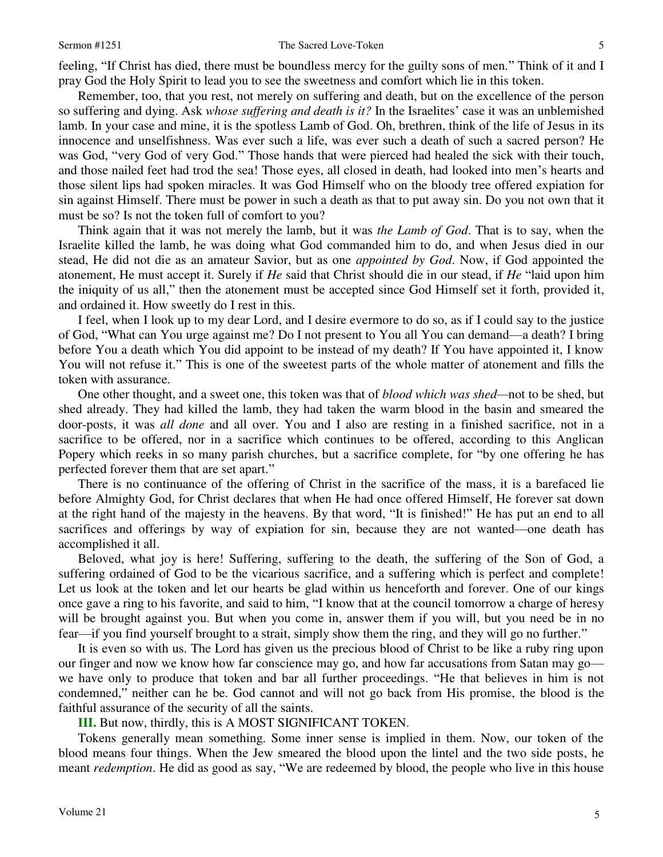feeling, "If Christ has died, there must be boundless mercy for the guilty sons of men." Think of it and I pray God the Holy Spirit to lead you to see the sweetness and comfort which lie in this token.

 Remember, too, that you rest, not merely on suffering and death, but on the excellence of the person so suffering and dying. Ask *whose suffering and death is it?* In the Israelites' case it was an unblemished lamb. In your case and mine, it is the spotless Lamb of God. Oh, brethren, think of the life of Jesus in its innocence and unselfishness. Was ever such a life, was ever such a death of such a sacred person? He was God, "very God of very God." Those hands that were pierced had healed the sick with their touch, and those nailed feet had trod the sea! Those eyes, all closed in death, had looked into men's hearts and those silent lips had spoken miracles. It was God Himself who on the bloody tree offered expiation for sin against Himself. There must be power in such a death as that to put away sin. Do you not own that it must be so? Is not the token full of comfort to you?

 Think again that it was not merely the lamb, but it was *the Lamb of God*. That is to say, when the Israelite killed the lamb, he was doing what God commanded him to do, and when Jesus died in our stead, He did not die as an amateur Savior, but as one *appointed by God*. Now, if God appointed the atonement, He must accept it. Surely if *He* said that Christ should die in our stead, if *He* "laid upon him the iniquity of us all," then the atonement must be accepted since God Himself set it forth, provided it, and ordained it. How sweetly do I rest in this.

 I feel, when I look up to my dear Lord, and I desire evermore to do so, as if I could say to the justice of God, "What can You urge against me? Do I not present to You all You can demand—a death? I bring before You a death which You did appoint to be instead of my death? If You have appointed it, I know You will not refuse it." This is one of the sweetest parts of the whole matter of atonement and fills the token with assurance.

 One other thought, and a sweet one, this token was that of *blood which was shed—*not to be shed, but shed already. They had killed the lamb, they had taken the warm blood in the basin and smeared the door-posts, it was *all done* and all over. You and I also are resting in a finished sacrifice, not in a sacrifice to be offered, nor in a sacrifice which continues to be offered, according to this Anglican Popery which reeks in so many parish churches, but a sacrifice complete, for "by one offering he has perfected forever them that are set apart."

 There is no continuance of the offering of Christ in the sacrifice of the mass, it is a barefaced lie before Almighty God, for Christ declares that when He had once offered Himself, He forever sat down at the right hand of the majesty in the heavens. By that word, "It is finished!" He has put an end to all sacrifices and offerings by way of expiation for sin, because they are not wanted—one death has accomplished it all.

 Beloved, what joy is here! Suffering, suffering to the death, the suffering of the Son of God, a suffering ordained of God to be the vicarious sacrifice, and a suffering which is perfect and complete! Let us look at the token and let our hearts be glad within us henceforth and forever. One of our kings once gave a ring to his favorite, and said to him, "I know that at the council tomorrow a charge of heresy will be brought against you. But when you come in, answer them if you will, but you need be in no fear—if you find yourself brought to a strait, simply show them the ring, and they will go no further."

 It is even so with us. The Lord has given us the precious blood of Christ to be like a ruby ring upon our finger and now we know how far conscience may go, and how far accusations from Satan may go we have only to produce that token and bar all further proceedings. "He that believes in him is not condemned," neither can he be. God cannot and will not go back from His promise, the blood is the faithful assurance of the security of all the saints.

**III.** But now, thirdly, this is A MOST SIGNIFICANT TOKEN.

 Tokens generally mean something. Some inner sense is implied in them. Now, our token of the blood means four things. When the Jew smeared the blood upon the lintel and the two side posts, he meant *redemption*. He did as good as say, "We are redeemed by blood, the people who live in this house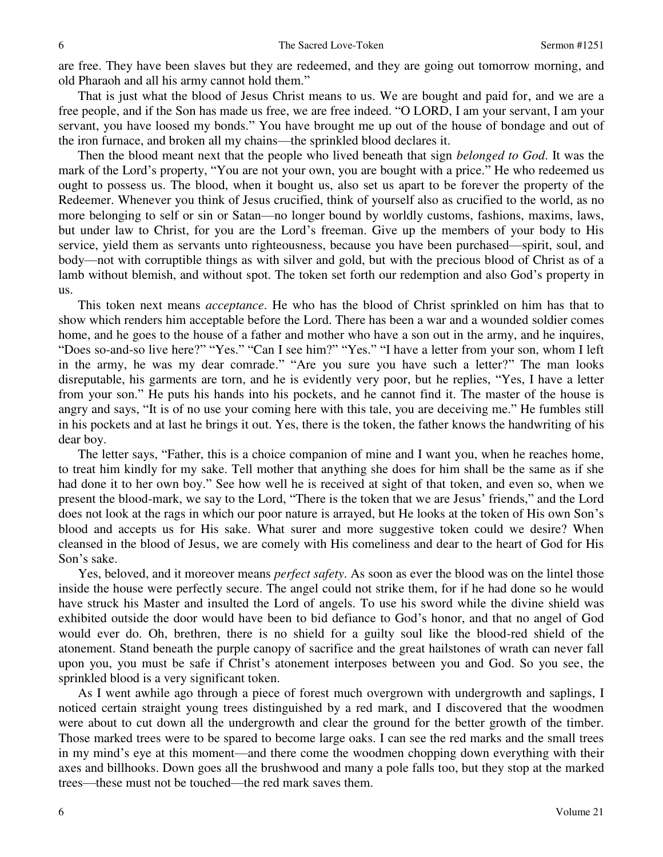are free. They have been slaves but they are redeemed, and they are going out tomorrow morning, and old Pharaoh and all his army cannot hold them."

 That is just what the blood of Jesus Christ means to us. We are bought and paid for, and we are a free people, and if the Son has made us free, we are free indeed. "O LORD, I am your servant, I am your servant, you have loosed my bonds." You have brought me up out of the house of bondage and out of the iron furnace, and broken all my chains—the sprinkled blood declares it.

 Then the blood meant next that the people who lived beneath that sign *belonged to God*. It was the mark of the Lord's property, "You are not your own, you are bought with a price." He who redeemed us ought to possess us. The blood, when it bought us, also set us apart to be forever the property of the Redeemer. Whenever you think of Jesus crucified, think of yourself also as crucified to the world, as no more belonging to self or sin or Satan—no longer bound by worldly customs, fashions, maxims, laws, but under law to Christ, for you are the Lord's freeman. Give up the members of your body to His service, yield them as servants unto righteousness, because you have been purchased—spirit, soul, and body—not with corruptible things as with silver and gold, but with the precious blood of Christ as of a lamb without blemish, and without spot. The token set forth our redemption and also God's property in us.

 This token next means *acceptance*. He who has the blood of Christ sprinkled on him has that to show which renders him acceptable before the Lord. There has been a war and a wounded soldier comes home, and he goes to the house of a father and mother who have a son out in the army, and he inquires, "Does so-and-so live here?" "Yes." "Can I see him?" "Yes." "I have a letter from your son, whom I left in the army, he was my dear comrade." "Are you sure you have such a letter?" The man looks disreputable, his garments are torn, and he is evidently very poor, but he replies, "Yes, I have a letter from your son." He puts his hands into his pockets, and he cannot find it. The master of the house is angry and says, "It is of no use your coming here with this tale, you are deceiving me." He fumbles still in his pockets and at last he brings it out. Yes, there is the token, the father knows the handwriting of his dear boy.

 The letter says, "Father, this is a choice companion of mine and I want you, when he reaches home, to treat him kindly for my sake. Tell mother that anything she does for him shall be the same as if she had done it to her own boy." See how well he is received at sight of that token, and even so, when we present the blood-mark, we say to the Lord, "There is the token that we are Jesus' friends," and the Lord does not look at the rags in which our poor nature is arrayed, but He looks at the token of His own Son's blood and accepts us for His sake. What surer and more suggestive token could we desire? When cleansed in the blood of Jesus, we are comely with His comeliness and dear to the heart of God for His Son's sake.

 Yes, beloved, and it moreover means *perfect safety*. As soon as ever the blood was on the lintel those inside the house were perfectly secure. The angel could not strike them, for if he had done so he would have struck his Master and insulted the Lord of angels. To use his sword while the divine shield was exhibited outside the door would have been to bid defiance to God's honor, and that no angel of God would ever do. Oh, brethren, there is no shield for a guilty soul like the blood-red shield of the atonement. Stand beneath the purple canopy of sacrifice and the great hailstones of wrath can never fall upon you, you must be safe if Christ's atonement interposes between you and God. So you see, the sprinkled blood is a very significant token.

 As I went awhile ago through a piece of forest much overgrown with undergrowth and saplings, I noticed certain straight young trees distinguished by a red mark, and I discovered that the woodmen were about to cut down all the undergrowth and clear the ground for the better growth of the timber. Those marked trees were to be spared to become large oaks. I can see the red marks and the small trees in my mind's eye at this moment—and there come the woodmen chopping down everything with their axes and billhooks. Down goes all the brushwood and many a pole falls too, but they stop at the marked trees—these must not be touched—the red mark saves them.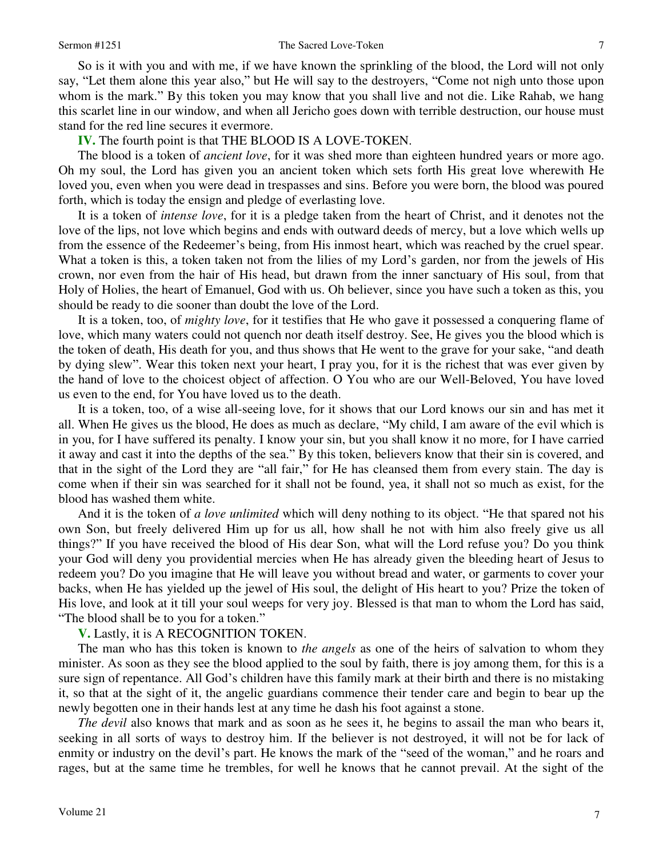So is it with you and with me, if we have known the sprinkling of the blood, the Lord will not only say, "Let them alone this year also," but He will say to the destroyers, "Come not nigh unto those upon whom is the mark." By this token you may know that you shall live and not die. Like Rahab, we hang this scarlet line in our window, and when all Jericho goes down with terrible destruction, our house must stand for the red line secures it evermore.

# **IV.** The fourth point is that THE BLOOD IS A LOVE-TOKEN.

 The blood is a token of *ancient love*, for it was shed more than eighteen hundred years or more ago. Oh my soul, the Lord has given you an ancient token which sets forth His great love wherewith He loved you, even when you were dead in trespasses and sins. Before you were born, the blood was poured forth, which is today the ensign and pledge of everlasting love.

 It is a token of *intense love*, for it is a pledge taken from the heart of Christ, and it denotes not the love of the lips, not love which begins and ends with outward deeds of mercy, but a love which wells up from the essence of the Redeemer's being, from His inmost heart, which was reached by the cruel spear. What a token is this, a token taken not from the lilies of my Lord's garden, nor from the jewels of His crown, nor even from the hair of His head, but drawn from the inner sanctuary of His soul, from that Holy of Holies, the heart of Emanuel, God with us. Oh believer, since you have such a token as this, you should be ready to die sooner than doubt the love of the Lord.

 It is a token, too, of *mighty love*, for it testifies that He who gave it possessed a conquering flame of love, which many waters could not quench nor death itself destroy. See, He gives you the blood which is the token of death, His death for you, and thus shows that He went to the grave for your sake, "and death by dying slew". Wear this token next your heart, I pray you, for it is the richest that was ever given by the hand of love to the choicest object of affection. O You who are our Well-Beloved, You have loved us even to the end, for You have loved us to the death.

 It is a token, too, of a wise all-seeing love, for it shows that our Lord knows our sin and has met it all. When He gives us the blood, He does as much as declare, "My child, I am aware of the evil which is in you, for I have suffered its penalty. I know your sin, but you shall know it no more, for I have carried it away and cast it into the depths of the sea." By this token, believers know that their sin is covered, and that in the sight of the Lord they are "all fair," for He has cleansed them from every stain. The day is come when if their sin was searched for it shall not be found, yea, it shall not so much as exist, for the blood has washed them white.

 And it is the token of *a love unlimited* which will deny nothing to its object. "He that spared not his own Son, but freely delivered Him up for us all, how shall he not with him also freely give us all things?" If you have received the blood of His dear Son, what will the Lord refuse you? Do you think your God will deny you providential mercies when He has already given the bleeding heart of Jesus to redeem you? Do you imagine that He will leave you without bread and water, or garments to cover your backs, when He has yielded up the jewel of His soul, the delight of His heart to you? Prize the token of His love, and look at it till your soul weeps for very joy. Blessed is that man to whom the Lord has said, "The blood shall be to you for a token."

## **V.** Lastly, it is A RECOGNITION TOKEN.

 The man who has this token is known to *the angels* as one of the heirs of salvation to whom they minister. As soon as they see the blood applied to the soul by faith, there is joy among them, for this is a sure sign of repentance. All God's children have this family mark at their birth and there is no mistaking it, so that at the sight of it, the angelic guardians commence their tender care and begin to bear up the newly begotten one in their hands lest at any time he dash his foot against a stone.

*The devil* also knows that mark and as soon as he sees it, he begins to assail the man who bears it, seeking in all sorts of ways to destroy him. If the believer is not destroyed, it will not be for lack of enmity or industry on the devil's part. He knows the mark of the "seed of the woman," and he roars and rages, but at the same time he trembles, for well he knows that he cannot prevail. At the sight of the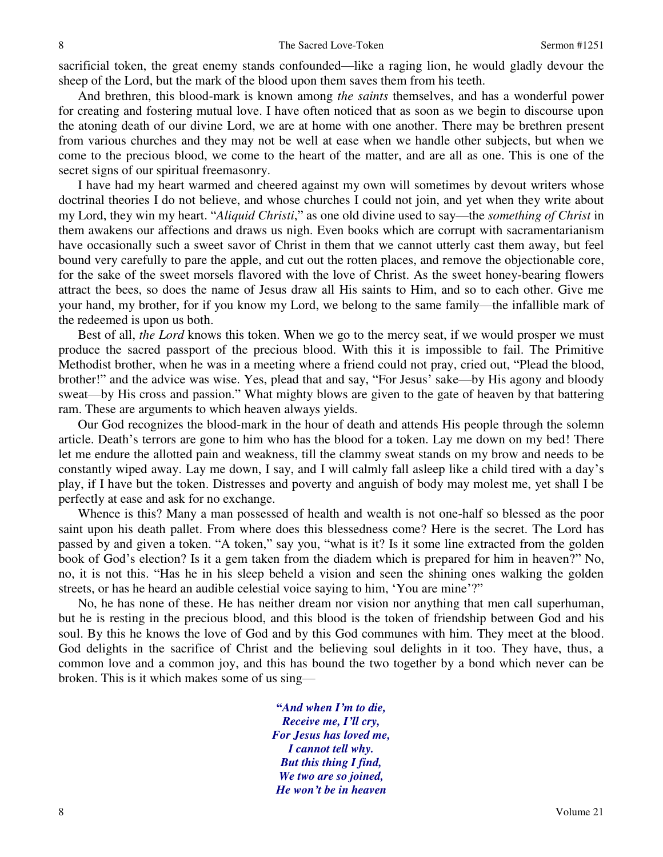sacrificial token, the great enemy stands confounded—like a raging lion, he would gladly devour the sheep of the Lord, but the mark of the blood upon them saves them from his teeth.

 And brethren, this blood-mark is known among *the saints* themselves, and has a wonderful power for creating and fostering mutual love. I have often noticed that as soon as we begin to discourse upon the atoning death of our divine Lord, we are at home with one another. There may be brethren present from various churches and they may not be well at ease when we handle other subjects, but when we come to the precious blood, we come to the heart of the matter, and are all as one. This is one of the secret signs of our spiritual freemasonry.

 I have had my heart warmed and cheered against my own will sometimes by devout writers whose doctrinal theories I do not believe, and whose churches I could not join, and yet when they write about my Lord, they win my heart. "*Aliquid Christi*," as one old divine used to say—the *something of Christ* in them awakens our affections and draws us nigh. Even books which are corrupt with sacramentarianism have occasionally such a sweet savor of Christ in them that we cannot utterly cast them away, but feel bound very carefully to pare the apple, and cut out the rotten places, and remove the objectionable core, for the sake of the sweet morsels flavored with the love of Christ. As the sweet honey-bearing flowers attract the bees, so does the name of Jesus draw all His saints to Him, and so to each other. Give me your hand, my brother, for if you know my Lord, we belong to the same family—the infallible mark of the redeemed is upon us both.

 Best of all, *the Lord* knows this token. When we go to the mercy seat, if we would prosper we must produce the sacred passport of the precious blood. With this it is impossible to fail. The Primitive Methodist brother, when he was in a meeting where a friend could not pray, cried out, "Plead the blood, brother!" and the advice was wise. Yes, plead that and say, "For Jesus' sake—by His agony and bloody sweat—by His cross and passion." What mighty blows are given to the gate of heaven by that battering ram. These are arguments to which heaven always yields.

 Our God recognizes the blood-mark in the hour of death and attends His people through the solemn article. Death's terrors are gone to him who has the blood for a token. Lay me down on my bed! There let me endure the allotted pain and weakness, till the clammy sweat stands on my brow and needs to be constantly wiped away. Lay me down, I say, and I will calmly fall asleep like a child tired with a day's play, if I have but the token. Distresses and poverty and anguish of body may molest me, yet shall I be perfectly at ease and ask for no exchange.

Whence is this? Many a man possessed of health and wealth is not one-half so blessed as the poor saint upon his death pallet. From where does this blessedness come? Here is the secret. The Lord has passed by and given a token. "A token," say you, "what is it? Is it some line extracted from the golden book of God's election? Is it a gem taken from the diadem which is prepared for him in heaven?" No, no, it is not this. "Has he in his sleep beheld a vision and seen the shining ones walking the golden streets, or has he heard an audible celestial voice saying to him, 'You are mine'?"

 No, he has none of these. He has neither dream nor vision nor anything that men call superhuman, but he is resting in the precious blood, and this blood is the token of friendship between God and his soul. By this he knows the love of God and by this God communes with him. They meet at the blood. God delights in the sacrifice of Christ and the believing soul delights in it too. They have, thus, a common love and a common joy, and this has bound the two together by a bond which never can be broken. This is it which makes some of us sing—

> **"***And when I'm to die, Receive me, I'll cry, For Jesus has loved me, I cannot tell why. But this thing I find, We two are so joined, He won't be in heaven*